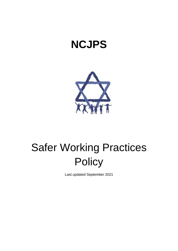## **NCJPS**



# Safer Working Practices **Policy**

Last updated September 2021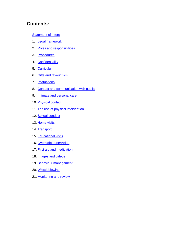## **Contents:**

#### **[Statement of intent](#page-2-0)**

- 1. **Legal framework**
- 2. [Roles and responsibilities](#page-4-0)
- 3. [Procedures](#page-7-0)
- 4. [Confidentiality](#page-7-1)
- 5. [Curriculum](#page-8-0)
- 6. [Gifts and favouritism](#page-8-1)
- 7. [Infatuations](#page-9-0)
- 8. [Contact and communication with pupils](#page-9-1)
- 9. [Intimate and personal care](#page-10-0)
- 10. [Physical contact](#page-11-0)
- 11. [The use of physical intervention](#page-12-0)
- 12. [Sexual conduct](#page-13-0)
- 13. [Home visits](#page-13-1)
- 14. [Transport](#page-14-0)
- 15. [Educational visits](#page-15-0)
- 16. [Overnight supervision](#page-15-1)
- 17. [First aid and medication](#page-16-0)
- 18. **[Images and videos](#page-16-1)**
- 19. [Behaviour management](#page-17-0)
- 20. [Whistleblowing](#page-18-0)
- 21. [Monitoring and review](#page-18-1)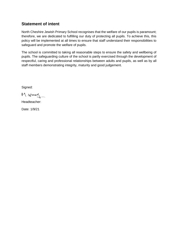## <span id="page-2-0"></span>**Statement of intent**

North Cheshire Jewish Primary School recognises that the welfare of our pupils is paramount; therefore, we are dedicated to fulfilling our duty of protecting all pupils. To achieve this, this policy will be implemented at all times to ensure that staff understand their responsibilities to safeguard and promote the welfare of pupils.

The school is committed to taking all reasonable steps to ensure the safety and wellbeing of pupils. The safeguarding culture of the school is partly exercised through the development of respectful, caring and professional relationships between adults and pupils, as well as by all staff members demonstrating integrity, maturity and good judgement.

Signed:

M. Wood

Headteacher:

<span id="page-2-1"></span>Date: 1/9/21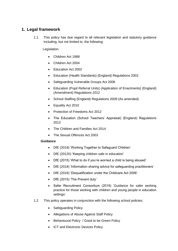## **1. Legal framework**

1.1. This policy has due regard to all relevant legislation and statutory guidance including, but not limited to, the following:

#### Legislation

- Children Act 1989
- Children Act 2004
- Education Act 2002
- Education (Health Standards) (England) Regulations 2003
- Safeguarding Vulnerable Groups Act 2006
- Education (Pupil Referral Units) (Application of Enactments) (England) (Amendment) Regulations 2012
- School Staffing (England) Regulations 2009 (As amended)
- Equality Act 2010
- Protection of Freedoms Act 2012
- The Education (School Teachers' Appraisal) (England) Regulations 2012
- The Children and Families Act 2014
- The Sexual Offences Act 2003

#### **Guidance**

- DfE (2018) 'Working Together to Safeguard Children'
- DfE (20120) 'Keeping children safe in education'
- DfE (2015) 'What to do if you're worried a child is being abused'
- DfE (2018) 'Information sharing advice for safeguarding practitioners'
- DfE (2018) 'Disqualification under the Childcare Act 2006'
- DfE (2015) 'The Prevent duty'
- Safer Recruitment Consortium (2019) 'Guidance for safer working practice for those working with children and young people in education settings'
- 1.2. This policy operates in conjunction with the following school policies:
	- Safeguarding Policy
	- Allegations of Abuse Against Staff Policy
	- Behavioural Policy / Good to be Green Policy
	- ICT and Electronic Devices Policy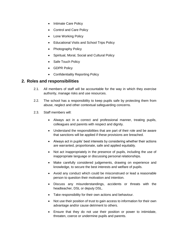- Intimate Care Policy
- Control and Care Policy
- Lone Working Policy
- Educational Visits and School Trips Policy
- Photography Policy
- Spiritual, Moral, Social and Cultural Policy
- Safe Touch Policy
- GDPR Policy
- Confidentiality Reporting Policy

#### <span id="page-4-0"></span>**2. Roles and responsibilities**

- 2.1. All members of staff will be accountable for the way in which they exercise authority, manage risks and use resources.
- 2.2. The school has a responsibility to keep pupils safe by protecting them from abuse, neglect and other contextual safeguarding concerns.
- 2.3. Staff members will:
	- Always act in a correct and professional manner, treating pupils, colleagues and parents with respect and dignity.
	- Understand the responsibilities that are part of their role and be aware that sanctions will be applied if these provisions are breached.
	- Always act in pupils' best interests by considering whether their actions are warranted, proportionate, safe and applied equitably.
	- Not act inappropriately in the presence of pupils, including the use of inappropriate language or discussing personal relationships.
	- Make carefully considered judgements, drawing on experience and knowledge, to secure the best interests and welfare of pupils.
	- Avoid any conduct which could be misconstrued or lead a reasonable person to question their motivation and intention.
	- Discuss any misunderstandings, accidents or threats with the headteacher, DSL or deputy DSL.
	- Take responsibility for their own actions and behaviour.
	- Not use their position of trust to gain access to information for their own advantage and/or cause detriment to others.
	- Ensure that they do not use their position or power to intimidate, threaten, coerce or undermine pupils and parents.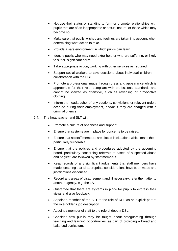- Not use their status or standing to form or promote relationships with pupils that are of an inappropriate or sexual nature, or those which may become so.
- Make sure that pupils' wishes and feelings are taken into account when determining what action to take.
- Provide a safe environment in which pupils can learn.
- Identify pupils who may need extra help or who are suffering, or likely to suffer, significant harm.
- Take appropriate action, working with other services as required.
- Support social workers to take decisions about individual children, in collaboration with the DSL.
- Promote a professional image through dress and appearance which is appropriate for their role, compliant with professional standards and cannot be viewed as offensive, such as revealing or provocative clothing.
- Inform the headteacher of any cautions, convictions or relevant orders accrued during their employment, and/or if they are charged with a criminal offence.
- 2.4. The headteacher and SLT will:
	- Promote a culture of openness and support.
	- Ensure that systems are in place for concerns to be raised.
	- Ensure that no staff members are placed in situations which make them particularly vulnerable.
	- Ensure that the policies and procedures adopted by the governing board, particularly concerning referrals of cases of suspected abuse and neglect, are followed by staff members.
	- Keep records of any significant judgements that staff members have made, ensuring that all appropriate considerations have been made and justifications evidenced.
	- Record any areas of disagreement and, if necessary, refer the matter to another agency, e.g. the LA.
	- Guarantee that there are systems in place for pupils to express their views and give feedback.
	- Appoint a member of the SLT to the role of DSL as an explicit part of the role-holder's job description.
	- Appoint a member of staff to the role of deputy DSL.
	- Consider how pupils may be taught about safeguarding through teaching and learning opportunities, as part of providing a broad and balanced curriculum.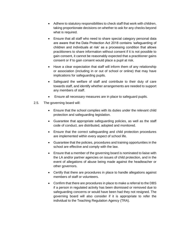- Adhere to statutory responsibilities to check staff that work with children, taking proportionate decisions on whether to ask for any checks beyond what is required.
- Ensure that all staff who need to share special category personal data are aware that the Data Protection Act 2018 contains 'safeguarding of children and individuals at risk' as a processing condition that allows practitioners to share information without consent if it is not possible to gain consent, it cannot be reasonably expected that a practitioner gains consent or if to gain consent would place a pupil at risk.
- Have a clear expectation that staff will inform them of any relationship or association (including in or out of school or online) that may have implications for safeguarding pupils.
- Safeguard the welfare of staff and contribute to their duty of care towards staff, and identify whether arrangements are needed to support any members of staff.
- Ensure all necessary measures are in place to safeguard pupils.
- 2.5. The governing board will:
	- Ensure that the school complies with its duties under the relevant child protection and safeguarding legislation.
	- Guarantee that appropriate safeguarding policies, as well as the staff code of conduct, are distributed, adopted and monitored.
	- Ensure that the correct safeguarding and child protection procedures are implemented within every aspect of school life.
	- Guarantee that the policies, procedures and training opportunities in the school are effective and comply with the law.
	- Ensure that a member of the governing board is nominated to liaise with the LA and/or partner agencies on issues of child protection, and in the event of allegations of abuse being made against the headteacher or other governors.
	- Certify that there are procedures in place to handle allegations against members of staff or volunteers.
	- Confirm that there are procedures in place to make a referral to the DBS if a person in regulated activity has been dismissed or removed due to safeguarding concerns or would have been had they not resigned. The governing board will also consider if it is appropriate to refer the individual to the Teaching Regulation Agency (TRA).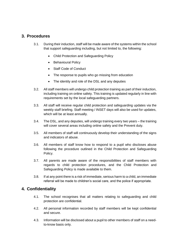### <span id="page-7-0"></span>**3. Procedures**

- 3.1. During their induction, staff will be made aware of the systems within the school that support safeguarding including, but not limited to, the following:
	- Child Protection and Safeguarding Policy
	- Behavioural Policy
	- Staff Code of Conduct
	- The response to pupils who go missing from education
	- The identity and role of the DSL and any deputies
- 3.2. All staff members will undergo child protection training as part of their induction, including training on online safety. This training is updated regularly in line with requirements set by the local safeguarding partners.
- 3.3. All staff will receive regular child protection and safeguarding updates via the weekly staff briefing. Staff meeting / INSET days will also be used for updates, which will be at least annually.
- 3.4. The DSL, and any deputies, will undergo training every two years the training will cover several areas including online safety and the Prevent duty.
- 3.5. All members of staff will continuously develop their understanding of the signs and indicators of abuse.
- 3.6. All members of staff know how to respond to a pupil who discloses abuse following the procedure outlined in the Child Protection and Safeguarding Policy.
- 3.7. All parents are made aware of the responsibilities of staff members with regards to child protection procedures, and the Child Protection and Safeguarding Policy is made available to them.
- 3.8. If at any point there is a risk of immediate, serious harm to a child, an immediate referral will be made to children's social care, and the police if appropriate.

#### <span id="page-7-1"></span>**4. Confidentiality**

- 4.1. The school recognises that all matters relating to safeguarding and child protection are confidential.
- 4.2. All personal information recorded by staff members will be kept confidential and secure.
- 4.3. Information will be disclosed about a pupil to other members of staff on a needto-know basis only.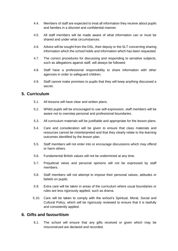- 4.4. Members of staff are expected to treat all information they receive about pupils and families in a discreet and confidential manner.
- 4.5. All staff members will be made aware of what information can or must be shared and under what circumstances.
- 4.6. Advice will be sought from the DSL, their deputy or the SLT concerning sharing information which the school holds and information which has been requested.
- 4.7. The correct procedures for discussing and responding to sensitive subjects, such as allegations against staff, will always be followed.
- 4.8. Staff have a professional responsibility to share information with other agencies in order to safeguard children.
- 4.9. Staff cannot make promises to pupils that they will keep anything discussed a secret.

## <span id="page-8-0"></span>**5. Curriculum**

- 5.1. All lessons will have clear and written plans.
- 5.2. Whilst pupils will be encouraged to use self-expression, staff members will be aware not to overstep personal and professional boundaries.
- 5.3. All curriculum materials will be justifiable and appropriate for the lesson plans.
- 5.4. Care and consideration will be given to ensure that class materials and resources cannot be misinterpreted and that they clearly relate to the learning outcomes identified by the lesson plan.
- 5.5. Staff members will not enter into or encourage discussions which may offend or harm others.
- 5.6. Fundamental British values will not be undermined at any time.
- 5.7. Prejudicial views and personal opinions will not be expressed by staff members.
- 5.8. Staff members will not attempt to impose their personal values, attitudes or beliefs on pupils.
- 5.9. Extra care will be taken in areas of the curriculum where usual boundaries or rules are less rigorously applied, such as drama.
- 5.10. Care will be taken to comply with the school's Spiritual, Moral, Social and Cultural Policy, which will be rigorously reviewed to ensure that it is lawfully and consistently applied.

#### <span id="page-8-1"></span>**6. Gifts and favouritism**

6.1. The school will ensure that any gifts received or given which may be misconstrued are declared and recorded.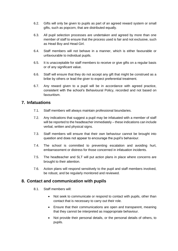- 6.2. Gifts will only be given to pupils as part of an agreed reward system or small gifts, such as popcorn, that are distributed equally.
- 6.3. All pupil selection processes are undertaken and agreed by more than one member of staff to ensure that the process used is fair and not exclusive, such as Head Boy and Head Girl.
- 6.4. Staff members will not behave in a manner, which is either favourable or unfavourable to individual pupils.
- 6.5. It is unacceptable for staff members to receive or give gifts on a regular basis or of any significant value.
- 6.6. Staff will ensure that they do not accept any gift that might be construed as a bribe by others or lead the giver to expect preferential treatment.
- 6.7. Any reward given to a pupil will be in accordance with agreed practice, consistent with the school's Behavioural Policy, recorded and not based on favouritism.

#### <span id="page-9-0"></span>**7. Infatuations**

- 7.1. Staff members will always maintain professional boundaries.
- 7.2. Any indications that suggest a pupil may be infatuated with a member of staff will be reported to the headteacher immediately – these indications can include verbal, written and physical signs.
- 7.3. Staff members will ensure that their own behaviour cannot be brought into question and does not appear to encourage the pupil's behaviour.
- 7.4. The school is committed to preventing escalation and avoiding hurt, embarrassment or distress for those concerned in infatuation incidents.
- 7.5. The headteacher and SLT will put action plans in place where concerns are brought to their attention.
- 7.6. Action plans will respond sensitively to the pupil and staff members involved, be robust, and be regularly monitored and reviewed.

#### <span id="page-9-1"></span>**8. Contact and communication with pupils**

- 8.1. Staff members will:
	- Not seek to communicate or respond to contact with pupils, other than contact that is necessary to carry out their role.
	- Ensure that their communications are open and transparent, meaning that they cannot be interpreted as inappropriate behaviour.
	- Not provide their personal details, or the personal details of others, to pupils.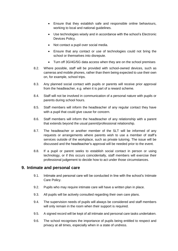- Ensure that they establish safe and responsible online behaviours, working to local and national guidelines.
- Use technologies wisely and in accordance with the school's Electronic Devices Policy.
- Not contact a pupil over social media.
- Ensure that any contact or use of technologies could not bring the school or themselves into disrepute.
- Turn off 3G/4G/5G data access when they are on the school premises
- 8.2. Where possible, staff will be provided with school-owned devices, such as cameras and mobile phones, rather than them being expected to use their own on, for example, school trips.
- 8.3. Any planned social contact with pupils or parents will receive prior approval from the headteacher, e.g. when it is part of a reward scheme.
- 8.4. Staff will not be involved in communication of a personal nature with pupils or parents during school hours.
- 8.5. Staff members will inform the headteacher of any regular contact they have with a pupil that could give cause for concern.
- 8.6. Staff members will inform the headteacher of any relationship with a parent that extends beyond the usual parent/professional relationship.
- 8.7. The headteacher or another member of the SLT will be informed of any requests or arrangements where parents wish to use a member of staff's services outside of the workplace, such as private tutoring. The issue will be discussed and the headteacher's approval will be needed prior to the event.
- 8.8. If a pupil or parent seeks to establish social contact in person or using technology, or if this occurs coincidentally, staff members will exercise their professional judgement to decide how to act under those circumstances.

#### <span id="page-10-0"></span>**9. Intimate and personal care**

- 9.1. Intimate and personal care will be conducted in line with the school's Intimate Care Policy.
- 9.2. Pupils who may require intimate care will have a written plan in place.
- 9.3. All pupils will be actively consulted regarding their own care plans.
- 9.4. The supervision needs of pupils will always be considered and staff members will only remain in the room when their support is required.
- 9.5. A signed record will be kept of all intimate and personal care tasks undertaken.
- 9.6. The school recognises the importance of pupils being entitled to respect and privacy at all times, especially when in a state of undress.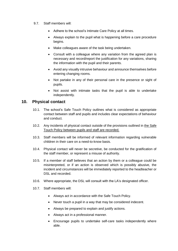- 9.7. Staff members will:
	- Adhere to the school's Intimate Care Policy at all times.
	- Always explain to the pupil what is happening before a care procedure begins.
	- Make colleagues aware of the task being undertaken.
	- Consult with a colleague where any variation from the agreed plan is necessary and record/report the justification for any variations, sharing the information with the pupil and their parents.
	- Avoid any visually intrusive behaviour and announce themselves before entering changing rooms.
	- Not partake in any of their personal care in the presence or sight of pupils.
	- Not assist with intimate tasks that the pupil is able to undertake independently.

#### <span id="page-11-0"></span>**10. Physical contact**

- 10.1. The school's Safe Touch Policy outlines what is considered as appropriate contact between staff and pupils and includes clear expectations of behaviour and conduct.
- 10.2. Any incidents of physical contact outside of the provisions outlined in the Safe Touch Policy between pupils and staff are recorded.
- 10.3. Staff members will be informed of relevant information regarding vulnerable children in their care on a need-to-know basis.
- 10.4. Physical contact will never be secretive, be conducted for the gratification of the staff member, or represent a misuse of authority.
- 10.5. If a member of staff believes that an action by them or a colleague could be misinterpreted, or if an action is observed which is possibly abusive, the incident and circumstances will be immediately reported to the headteacher or DSL and recorded.
- 10.6. Where appropriate, the DSL will consult with the LA's designated officer.
- 10.7. Staff members will:
	- Always act in accordance with the Safe Touch Policy.
	- Never touch a pupil in a way that may be considered indecent.
	- Always be prepared to explain and justify actions.
	- Always act in a professional manner.
	- Encourage pupils to undertake self-care tasks independently where able.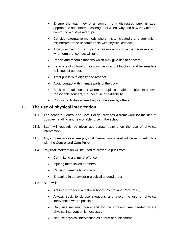- Ensure the way they offer comfort to a distressed pupil is ageappropriate and inform a colleague of when, why and how they offered comfort to a distressed pupil.
- Consider alternative methods where it is anticipated that a pupil might misinterpret or be uncomfortable with physical contact.
- Always explain to the pupil the reason why contact is necessary and what form that contact will take.
- Report and record situations which may give rise to concern.
- Be aware of cultural or religious views about touching and be sensitive to issues of gender.
- Treat pupils with dignity and respect.
- Avoid contact with intimate parts of the body.
- Seek parental consent where a pupil is unable to give their own reasonable consent, e.g. because of a disability.
- Conduct activities where they can be seen by others.

#### <span id="page-12-0"></span>**11. The use of physical intervention**

- 11.1. The school's Control and Care Policy provides a framework for the use of positive handling and reasonable force in the school.
- 11.2. Staff will regularly be given appropriate training on the use of physical intervention.
- 11.3. Any circumstances where physical intervention is used will be recorded in line with the Control and Care Policy.
- 11.4. Physical intervention will be used to prevent a pupil from:
	- Committing a criminal offence.
	- Injuring themselves or others.
	- Causing damage to property.
	- Engaging in behaviour prejudicial to good order.
- 11.5. Staff will:
	- Act in accordance with the school's Control and Care Policy.
	- Always seek to defuse situations and avoid the use of physical intervention where possible.
	- Only use minimum force and for the shortest time needed where physical intervention is necessary.
	- Not use physical intervention as a form of punishment.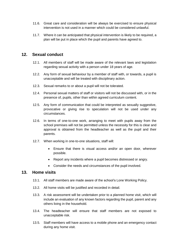- 11.6. Great care and consideration will be always be exercised to ensure physical intervention is not used in a manner which could be considered unlawful.
- 11.7. Where it can be anticipated that physical intervention is likely to be required, a plan will be put in place which the pupil and parents have agreed to.

#### <span id="page-13-0"></span>**12. Sexual conduct**

- 12.1. All members of staff will be made aware of the relevant laws and legislation regarding sexual activity with a person under 18 years of age.
- 12.2. Any form of sexual behaviour by a member of staff with, or towards, a pupil is unacceptable and will be treated with disciplinary action.
- 12.3. Sexual remarks to or about a pupil will not be tolerated.
- 12.4. Personal sexual matters of staff or visitors will not be discussed with, or in the presence of, pupils, other than within agreed curriculum content.
- 12.5. Any form of communication that could be interpreted as sexually suggestive, provocative or giving rise to speculation will not be used under any circumstances.
- 12.6. In terms of one-to-one work, arranging to meet with pupils away from the school premises will not be permitted unless the necessity for this is clear and approval is obtained from the headteacher as well as the pupil and their parents.
- 12.7. When working in one-to-one situations, staff will:
	- Ensure that there is visual access and/or an open door, wherever possible.
	- Report any incidents where a pupil becomes distressed or angry.
	- Consider the needs and circumstances of the pupil involved.

#### <span id="page-13-1"></span>**13. Home visits**

- 13.1. All staff members are made aware of the school's Lone Working Policy.
- 13.2. All home visits will be justified and recorded in detail.
- 13.3. A risk assessment will be undertaken prior to a planned home visit, which will include an evaluation of any known factors regarding the pupil, parent and any others living in the household.
- 13.4. The headteacher will ensure that staff members are not exposed to unacceptable risk.
- 13.5. Staff members will have access to a mobile phone and an emergency contact during any home visit.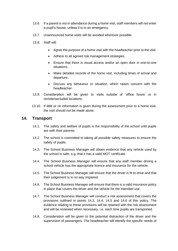- 13.6. If a parent is not in attendance during a home visit, staff members will not enter a pupil's house, unless it is in an emergency.
- 13.7. Unannounced home visits will be avoided wherever possible.
- 13.8. Staff will:
	- Agree the purpose of a home visit with the headteacher prior to the visit.
	- Adhere to all agreed risk management strategies.
	- Ensure that there is visual access and/or an open door in one-to-one situations.
	- Make detailed records of the home visit, including times of arrival and departure.
	- Discuss any behaviour or situation, which raises concern with the headteacher.
- 13.9. Consideration will be given to visits outside of 'office hours' or in remote/secluded locations.
- 13.10. If little or no information is given during the assessment prior to a home visit, the visit should not be made alone.

#### <span id="page-14-0"></span>**14. Transport**

- 14.1. The safety and welfare of pupils is the responsibility of the school until pupils are with their parents.
- 14.2. The school is committed to taking all possible safety measures to ensure the safety of pupils.
- 14.3. The School Business Manager will obtain evidence that any vehicle used by the school is safe, e.g. that it has a valid MOT certificate.
- 14.4. The School Business Manager will ensure that any staff member driving a school vehicle has the appropriate licence and insurance for the vehicle.
- 14.5. The School Business Manager will ensure that the driver is fit to drive and that their judgement is in no way impaired.
- 14.6. The School Business Manager will ensure that there is a valid insurance policy in place that covers the driver and the vehicle for the intended use.
- 14.7. The School Business Manager will conduct a risk assessment that covers the provisions outlined in points 14.3, 14.4, 14.5 and 14.6 of this policy. The evidence relating to these provisions will be retained with the risk assessment and will be reviewed when necessary, i.e. each time pupils are transported.
- 14.8. Consideration will be given to the potential distraction of the driver and the supervision of passengers. The headteacher will identify the specific needs of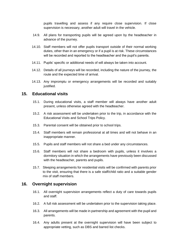pupils travelling and assess if any require close supervision. If close supervision is necessary, another adult will travel in the vehicle.

- 14.9. All plans for transporting pupils will be agreed upon by the headteacher in advance of the journey.
- 14.10. Staff members will not offer pupils transport outside of their normal working duties, other than in an emergency or if a pupil is at risk. These circumstances will be recorded and reported to the headteacher and the pupil's parents.
- 14.11. Pupils' specific or additional needs of will always be taken into account.
- 14.12. Details of all journeys will be recorded, including the nature of the journey, the route and the expected time of arrival.
- 14.13. Any impromptu or emergency arrangements will be recorded and suitably justified.

#### <span id="page-15-0"></span>**15. Educational visits**

- 15.1. During educational visits, a staff member will always have another adult present, unless otherwise agreed with the headteacher.
- 15.2. A risk assessment will be undertaken prior to the trip, in accordance with the Educational Visits and School Trips Policy.
- 15.3. Parental consent will be obtained prior to school trips.
- 15.4. Staff members will remain professional at all times and will not behave in an inappropriate manner.
- 15.5. Pupils and staff members will not share a bed under any circumstances.
- 15.6. Staff members will not share a bedroom with pupils, unless it involves a dormitory situation in which the arrangements have previously been discussed with the headteacher, parents and pupils.
- 15.7. Sleeping arrangements for residential visits will be confirmed with parents prior to the visit, ensuring that there is a safe staff/child ratio and a suitable gender mix of staff members.

#### <span id="page-15-1"></span>**16. Overnight supervision**

- 16.1. All overnight supervision arrangements reflect a duty of care towards pupils and staff.
- 16.2. A full risk assessment will be undertaken prior to the supervision taking place.
- 16.3. All arrangements will be made in partnership and agreement with the pupil and parents.
- 16.4. Any adults present at the overnight supervision will have been subject to appropriate vetting, such as DBS and barred list checks.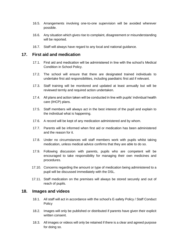- 16.5. Arrangements involving one-to-one supervision will be avoided wherever possible.
- 16.6. Any situation which gives rise to complaint, disagreement or misunderstanding will be reported.
- 16.7. Staff will always have regard to any local and national guidance.

## <span id="page-16-0"></span>**17. First aid and medication**

- 17.1. First aid and medication will be administered in line with the school's Medical Condition in School Policy.
- 17.2. The school will ensure that there are designated trained individuals to undertake first aid responsibilities, including paediatric first aid if relevant.
- 17.3. Staff training will be monitored and updated at least annually but will be reviewed termly and required action undertaken.
- 17.4. All plans and action taken will be conducted in line with pupils' individual health care (IHCP) plans.
- 17.5. Staff members will always act in the best interest of the pupil and explain to the individual what is happening.
- 17.6. A record will be kept of any medication administered and by whom.
- 17.7. Parents will be informed when first aid or medication has been administered and the reason for it.
- 17.8. Under no circumstances will staff members work with pupils whilst taking medication, unless medical advice confirms that they are able to do so.
- 17.9. Following discussion with parents, pupils who are competent will be encouraged to take responsibility for managing their own medicines and procedures.
- 17.10. Concerns regarding the amount or type of medication being administered to a pupil will be discussed immediately with the DSL.
- 17.11. Staff medication on the premises will always be stored securely and out of reach of pupils.

#### <span id="page-16-1"></span>**18. Images and videos**

- 18.1. All staff will act in accordance with the school's E-safety Policy / Staff Conduct **Policy**
- 18.2. Images will only be published or distributed if parents have given their explicit written consent.
- 18.3. All images or videos will only be retained if there is a clear and agreed purpose for doing so.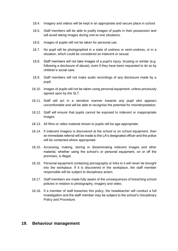- 18.4. Imagery and videos will be kept in an appropriate and secure place in school.
- 18.5. Staff members will be able to justify images of pupils in their possession and will avoid taking images during one-to-one situations.
- 18.6. Images of pupils will not be taken for personal use.
- 18.7. No pupil will be photographed in a state of undress or semi-undress, or in a situation, which could be considered as indecent or sexual.
- 18.8. Staff members will not take images of a pupil's injury, bruising or similar (e.g. following a disclosure of abuse), even if they have been requested to do so by children's social care.
- 18.9. Staff members will not make audio recordings of any disclosure made by a pupil.
- 18.10. Images of pupils will not be taken using personal equipment, unless previously agreed upon by the SLT.
- 18.11. Staff will act in a sensitive manner towards any pupil who appears uncomfortable and will be able to recognise the potential for misinterpretation.
- 18.12. Staff will ensure that pupils cannot be exposed to indecent or inappropriate images.
- 18.13. All films or video material shown to pupils will be age-appropriate.
- 18.14. If indecent imagery is discovered at the school or on school equipment, then an immediate referral will be made to the LA's designated officer and the police will be contacted where appropriate.
- 18.15. Accessing, making, storing or disseminating indecent images and other material, whether using the school's or personal equipment, on or off the premises, is illegal.
- 18.16. Personal equipment containing pornography or links to it will never be brought into the workplace. If it is discovered in the workplace, the staff member responsible will be subject to disciplinary action.
- 18.17. Staff members are made fully aware of the consequences of breaching school policies in relation to photography, imagery and video.
- 18.18. If a member of staff breaches this policy, the headteacher will conduct a full investigation and the staff member may be subject to the school's Disciplinary Policy and Procedure.

#### <span id="page-17-0"></span>**19. Behaviour management**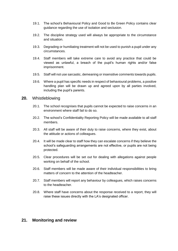- 19.1. The school's Behavioural Policy and Good to Be Green Policy contains clear guidance regarding the use of isolation and seclusion.
- 19.2. The discipline strategy used will always be appropriate to the circumstance and situation.
- 19.3. Degrading or humiliating treatment will not be used to punish a pupil under any circumstances.
- 19.4. Staff members will take extreme care to avoid any practice that could be viewed as unlawful, a breach of the pupil's human rights and/or false imprisonment.
- 19.5. Staff will not use sarcastic, demeaning or insensitive comments towards pupils.
- 19.6. Where a pupil has specific needs in respect of behavioural problems, a positive handling plan will be drawn up and agreed upon by all parties involved, including the pupil's parents.

#### <span id="page-18-0"></span>**20.** Whistleblowing

- 20.1. The school recognises that pupils cannot be expected to raise concerns in an environment where staff fail to do so.
- 20.2. The school's Confidentiality Reporting Policy will be made available to all staff members.
- 20.3. All staff will be aware of their duty to raise concerns, where they exist, about the attitude or actions of colleagues.
- 20.4. It will be made clear to staff how they can escalate concerns if they believe the school's safeguarding arrangements are not effective, or pupils are not being protected.
- 20.5. Clear procedures will be set out for dealing with allegations against people working on behalf of the school.
- 20.6. Staff members will be made aware of their individual responsibilities to bring matters of concern to the attention of the headteacher.
- 20.7. Staff members will report any behaviour by colleagues, which raises concerns to the headteacher.
- 20.8. Where staff have concerns about the response received to a report, they will raise these issues directly with the LA's designated officer.

#### <span id="page-18-1"></span>**21. Monitoring and review**